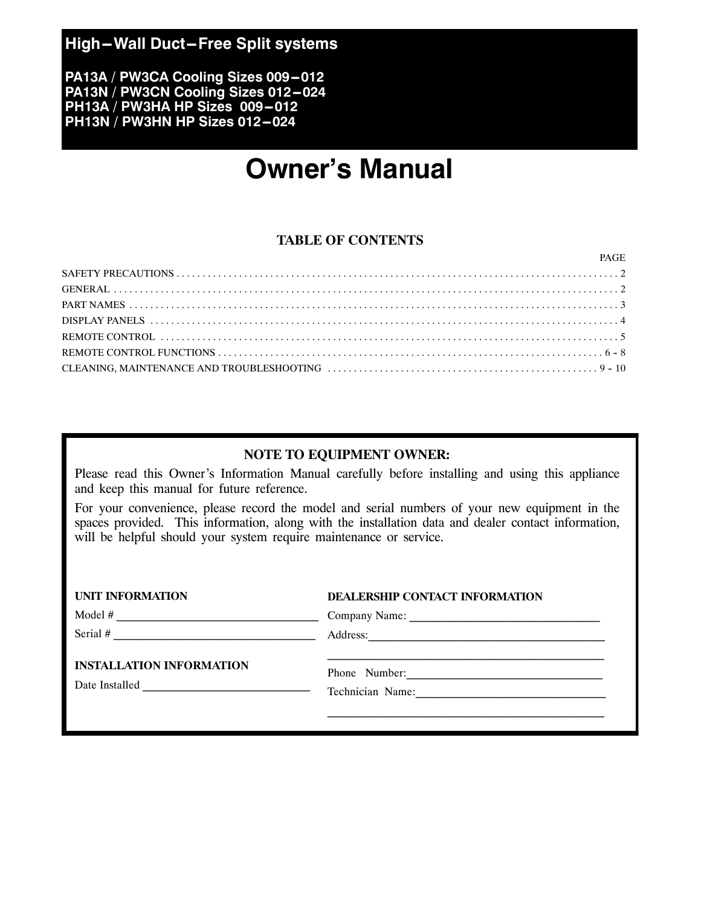## **High-Wall Duct-Free Split systems**

**PA13A / PW3CA Cooling Sizes 009-012** PA13N / PW3CN Cooling Sizes 012-024 **PH13A / PW3HA HP Sizes 009-012 PH13N / PW3HN HP Sizes 012-024** 

# **Owner's Manual**

### **TABLE OF CONTENTS**

| PAGE |
|------|
|      |
|      |
|      |
|      |
|      |
|      |
|      |

### **NOTE TO EQUIPMENT OWNER:**

Please read this Owner's Information Manual carefully before installing and using this appliance and keep this manual for future reference.

For your convenience, please record the model and serial numbers of your new equipment in the spaces provided. This information, along with the installation data and dealer contact information, will be helpful should your system require maintenance or service.

| <b>UNIT INFORMATION</b>                                                                                                                                                                                                                                | <b>DEALERSHIP CONTACT INFORMATION</b> |  |
|--------------------------------------------------------------------------------------------------------------------------------------------------------------------------------------------------------------------------------------------------------|---------------------------------------|--|
| Model $#$                                                                                                                                                                                                                                              |                                       |  |
| Serial #                                                                                                                                                                                                                                               | Address:                              |  |
| <b>INSTALLATION INFORMATION</b>                                                                                                                                                                                                                        |                                       |  |
| Date Installed<br><u> 1986 - Johann Stoff, deutscher Stoffen und der Stoffen und der Stoffen und der Stoffen und der Stoffen und der Stoffen und der Stoffen und der Stoffen und der Stoffen und der Stoffen und der Stoffen und der Stoffen und d</u> | Technician Name:                      |  |
|                                                                                                                                                                                                                                                        |                                       |  |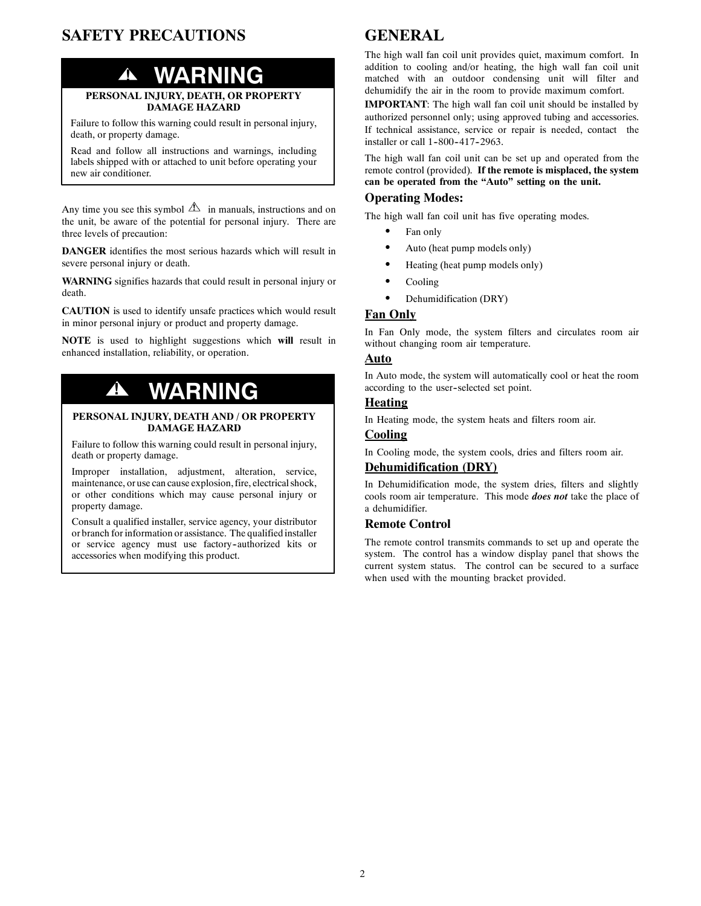## **SAFETY PRECAUTIONS**

# **! WARNING**

#### **PERSONAL INJURY, DEATH, OR PROPERTY DAMAGE HAZARD**

Failure to follow this warning could result in personal injury, death, or property damage.

Read and follow all instructions and warnings, including labels shipped with or attached to unit before operating your new air conditioner.

Any time you see this symbol  $\triangle$  in manuals, instructions and on the unit, be aware of the potential for personal injury. There are three levels of precaution:

**DANGER** identifies the most serious hazards which will result in severe personal injury or death.

**WARNING** signifies hazards that could result in personal injury or death.

**CAUTION** is used to identify unsafe practices which would result in minor personal injury or product and property damage.

**NOTE** is used to highlight suggestions which **will** result in enhanced installation, reliability, or operation.

# **! WARNING**

#### **PERSONAL INJURY, DEATH AND / OR PROPERTY DAMAGE HAZARD**

Failure to follow this warning could result in personal injury, death or property damage.

Improper installation, adjustment, alteration, service, maintenance, or use can cause explosion, fire, electrical shock, or other conditions which may cause personal injury or property damage.

Consult a qualified installer, service agency, your distributor or branch for information or assistance. The qualified installer or service agency must use factory-authorized kits or accessories when modifying this product.

## **GENERAL**

The high wall fan coil unit provides quiet, maximum comfort. In addition to cooling and/or heating, the high wall fan coil unit matched with an outdoor condensing unit will filter and dehumidify the air in the room to provide maximum comfort.

**IMPORTANT**: The high wall fan coil unit should be installed by authorized personnel only; using approved tubing and accessories. If technical assistance, service or repair is needed, contact the installer or call 1-800-417-2963.

The high wall fan coil unit can be set up and operated from the remote control (provided). **If the remote is misplaced, the system can be operated from the "Auto" setting on the unit.**

#### **Operating Modes:**

The high wall fan coil unit has five operating modes.

- Fan only
- Auto (heat pump models only)
- Heating (heat pump models only)
- Cooling
- Dehumidification (DRY)

#### **Fan Only**

In Fan Only mode, the system filters and circulates room air without changing room air temperature.

#### **Auto**

In Auto mode, the system will automatically cool or heat the room according to the user--selected set point.

#### **Heating**

In Heating mode, the system heats and filters room air.

#### **Cooling**

In Cooling mode, the system cools, dries and filters room air.

### **Dehumidification (DRY)**

In Dehumidification mode, the system dries, filters and slightly cools room air temperature. This mode *does not* take the place of a dehumidifier.

#### **Remote Control**

The remote control transmits commands to set up and operate the system. The control has a window display panel that shows the current system status. The control can be secured to a surface when used with the mounting bracket provided.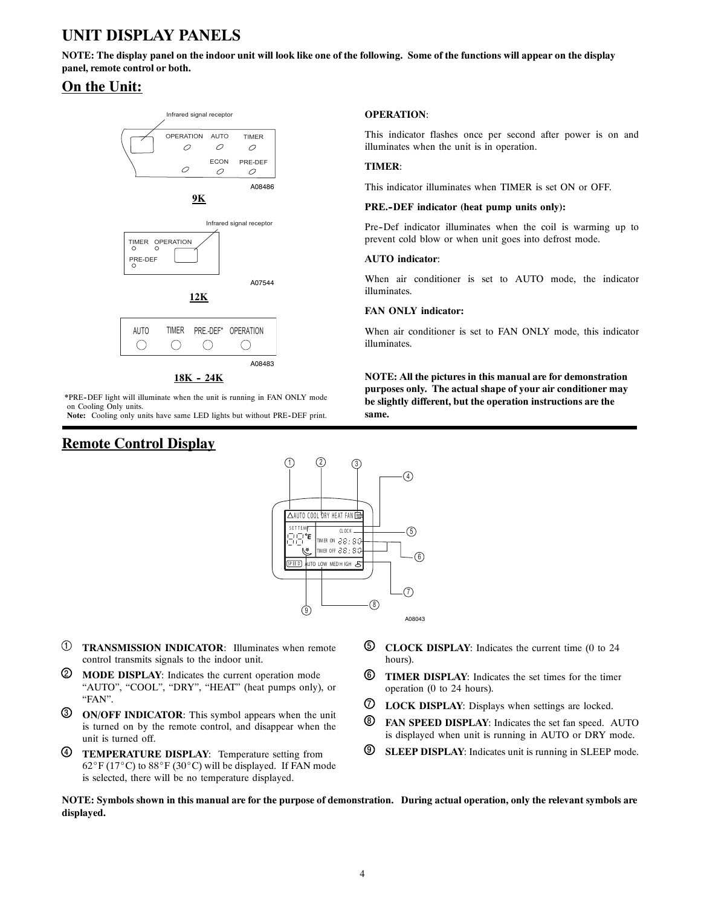# **UNIT DISPLAY PANELS**

**NOTE: The display panel on the indoor unit will look like one of the following. Some of the functions will appear on the display panel, remote control or both.**

## **On the Unit:**



**18K -- 24K**

**\***PRE--DEF light will illuminate when the unit is running in FAN ONLY mode on Cooling Only units.

Note: Cooling only units have same LED lights but without PRE-DEF print.

## **Remote Control Display**

#### **OPERATION**:

This indicator flashes once per second after power is on and illuminates when the unit is in operation.

#### **TIMER**:

This indicator illuminates when TIMER is set ON or OFF.

#### **PRE.--DEF indicator (heat pump units only):**

Pre-Def indicator illuminates when the coil is warming up to prevent cold blow or when unit goes into defrost mode.

#### **AUTO indicator**:

When air conditioner is set to AUTO mode, the indicator illuminates.

#### **FAN ONLY indicator:**

When air conditioner is set to FAN ONLY mode, this indicator illuminates.

**NOTE: All the pictures in this manual are for demonstration purposes only. The actual shape of your air conditioner may be slightly different, but the operation instructions are the same.**



- 1 **TRANSMISSION INDICATOR**: Illuminates when remote control transmits signals to the indoor unit.
- 2 **MODE DISPLAY**: Indicates the current operation mode "AUTO", "COOL", "DRY", "HEAT" (heat pumps only), or "FAN".
- 3 **ON/OFF INDICATOR**: This symbol appears when the unit is turned on by the remote control, and disappear when the unit is turned off.
- 4 **TEMPERATURE DISPLAY**: Temperature setting from  $62^{\circ}$ F (17°C) to  $88^{\circ}$ F (30°C) will be displayed. If FAN mode is selected, there will be no temperature displayed.
- 5 **CLOCK DISPLAY**: Indicates the current time (0 to 24 hours).
- 6 **TIMER DISPLAY**: Indicates the set times for the timer operation (0 to 24 hours).
- 7 **LOCK DISPLAY**: Displays when settings are locked.
- 8 **FAN SPEED DISPLAY**: Indicates the set fan speed. AUTO is displayed when unit is running in AUTO or DRY mode.
- 9 **SLEEP DISPLAY**: Indicates unit is running in SLEEP mode.

**NOTE: Symbols shown in this manual are for the purpose of demonstration. During actual operation, only the relevant symbols are displayed.**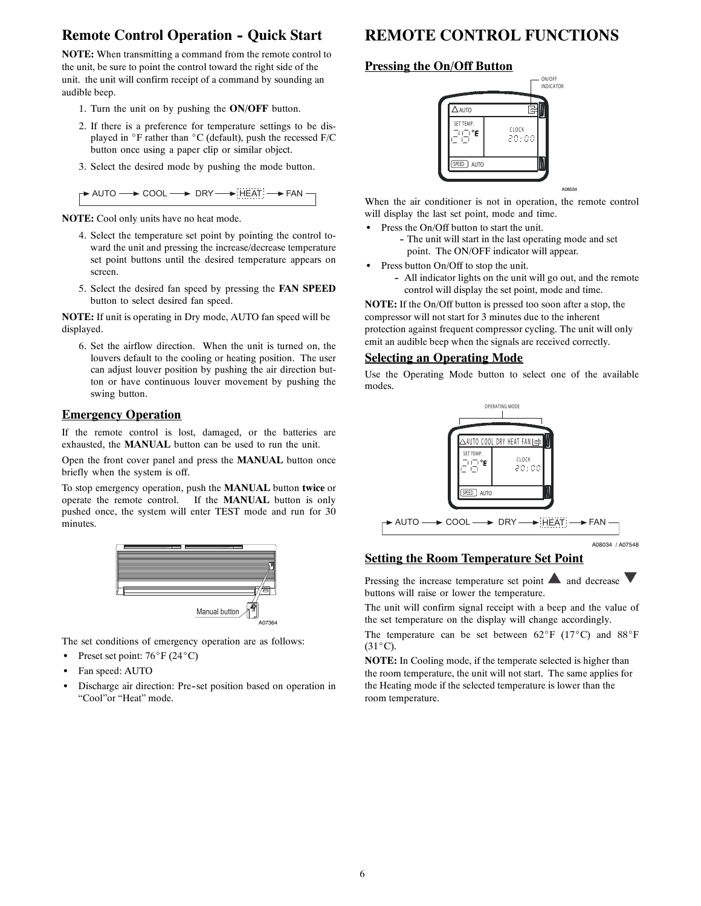## **Remote Control Operation - Quick Start**

**NOTE:** When transmitting a command from the remote control to the unit, be sure to point the control toward the right side of the unit. the unit will confirm receipt of a command by sounding an audible beep.

- 1. Turn the unit on by pushing the **ON/OFF** button.
- 2. If there is a preference for temperature settings to be displayed in  $\degree$ F rather than  $\degree$ C (default), push the recessed F/C button once using a paper clip or similar object.
- 3. Select the desired mode by pushing the mode button.

| $\rightarrow$ auto $\rightarrow$ cool | $\rightarrow$ DRY | .<br>$\rightarrow$ FAN<br>$\rightarrow$ HEAT $-$ |  |
|---------------------------------------|-------------------|--------------------------------------------------|--|
|---------------------------------------|-------------------|--------------------------------------------------|--|

**NOTE:** Cool only units have no heat mode.

- 4. Select the temperature set point by pointing the control toward the unit and pressing the increase/decrease temperature set point buttons until the desired temperature appears on screen.
- 5. Select the desired fan speed by pressing the **FAN SPEED** button to select desired fan speed.

**NOTE:** If unit is operating in Dry mode, AUTO fan speed will be displayed.

6. Set the airflow direction. When the unit is turned on, the louvers default to the cooling or heating position. The user can adjust louver position by pushing the air direction button or have continuous louver movement by pushing the swing button.

#### **Emergency Operation**

If the remote control is lost, damaged, or the batteries are exhausted, the **MANUAL** button can be used to run the unit.

Open the front cover panel and press the **MANUAL** button once briefly when the system is off.

To stop emergency operation, push the **MANUAL** button **twice** or operate the remote control. If the **MANUAL** button is only pushed once, the system will enter TEST mode and run for 30 minutes.



The set conditions of emergency operation are as follows:

- Preset set point:  $76^{\circ}$ F (24 $^{\circ}$ C)
- Fan speed: AUTO
- Discharge air direction: Pre-set position based on operation in "Cool"or "Heat" mode.

# **REMOTE CONTROL FUNCTIONS**

#### **Pressing the On/Off Button**



When the air conditioner is not in operation, the remote control will display the last set point, mode and time.

- Press the On/Off button to start the unit.
	- The unit will start in the last operating mode and set point. The ON/OFF indicator will appear.
- Press button On/Off to stop the unit.
	- All indicator lights on the unit will go out, and the remote control will display the set point, mode and time.

**NOTE:** If the On/Off button is pressed too soon after a stop, the compressor will not start for 3 minutes due to the inherent protection against frequent compressor cycling. The unit will only emit an audible beep when the signals are received correctly.

#### **Selecting an Operating Mode**

Use the Operating Mode button to select one of the available modes.



#### **Setting the Room Temperature Set Point**

Pressing the increase temperature set point  $\blacktriangle$  and decrease  $\nabla$ buttons will raise or lower the temperature.

The unit will confirm signal receipt with a beep and the value of the set temperature on the display will change accordingly.

The temperature can be set between  $62^{\circ}F$  (17<sup>o</sup>C) and 88<sup>o</sup>F  $(31^{\circ}C).$ 

**NOTE:** In Cooling mode, if the temperate selected is higher than the room temperature, the unit will not start. The same applies for the Heating mode if the selected temperature is lower than the room temperature.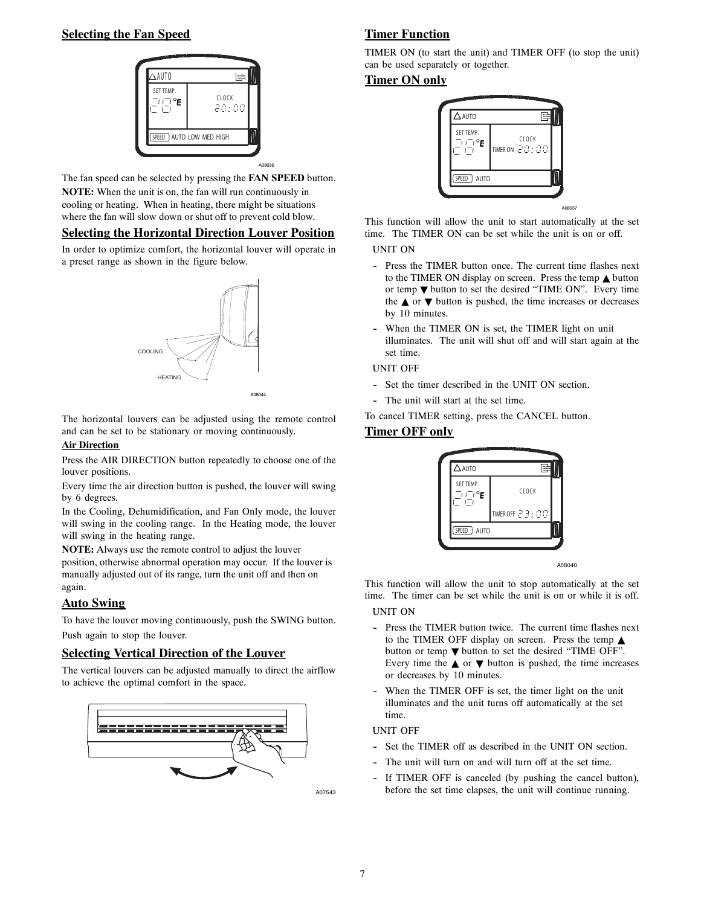#### **Selecting the Fan Speed**



The fan speed can be selected by pressing the **FAN SPEED** button. **NOTE:** When the unit is on, the fan will run continuously in cooling or heating. When in heating, there might be situations where the fan will slow down or shut off to prevent cold blow.

#### **Selecting the Horizontal Direction Louver Position**

In order to optimize comfort, the horizontal louver will operate in a preset range as shown in the figure below.



The horizontal louvers can be adjusted using the remote control and can be set to be stationary or moving continuously.

#### **Air Direction**

Press the AIR DIRECTION button repeatedly to choose one of the louver positions.

Every time the air direction button is pushed, the louver will swing by 6 degrees.

In the Cooling, Dehumidification, and Fan Only mode, the louver will swing in the cooling range. In the Heating mode, the louver will swing in the heating range.

**NOTE:** Always use the remote control to adjust the louver position, otherwise abnormal operation may occur. If the louver is manually adjusted out of its range, turn the unit off and then on again.

#### **Auto Swing**

To have the louver moving continuously, push the SWING button. Push again to stop the louver.

#### **Selecting Vertical Direction of the Louver**

The vertical louvers can be adjusted manually to direct the airflow to achieve the optimal comfort in the space.



A07543

### **Timer Function**

TIMER ON (to start the unit) and TIMER OFF (to stop the unit) can be used separately or together.

#### **Timer ON only**



This function will allow the unit to start automatically at the set time. The TIMER ON can be set while the unit is on or off.

#### UNIT ON

- -- Press the TIMER button once. The current time flashes next to the TIMER ON display on screen. Press the temp  $\triangle$  button or temp  $\nabla$  button to set the desired "TIME ON". Every time the  $\triangle$  or  $\nabla$  button is pushed, the time increases or decreases by 10 minutes.
- When the TIMER ON is set, the TIMER light on unit illuminates. The unit will shut off and will start again at the set time.

#### UNIT OFF

- Set the timer described in the UNIT ON section.
- The unit will start at the set time.

To cancel TIMER setting, press the CANCEL button.

#### **Timer OFF only**



A08040

This function will allow the unit to stop automatically at the set time. The timer can be set while the unit is on or while it is off.

UNIT ON

- Press the TIMER button twice. The current time flashes next to the TIMER OFF display on screen. Press the temp  $\triangle$ button or temp  $\nabla$  button to set the desired "TIME OFF". Every time the  $\triangle$  or  $\nabla$  button is pushed, the time increases or decreases by 10 minutes.
- When the TIMER OFF is set, the timer light on the unit illuminates and the unit turns off automatically at the set time.

#### UNIT OFF

- Set the TIMER off as described in the UNIT ON section.
- The unit will turn on and will turn off at the set time.
- If TIMER OFF is canceled (by pushing the cancel button), before the set time elapses, the unit will continue running.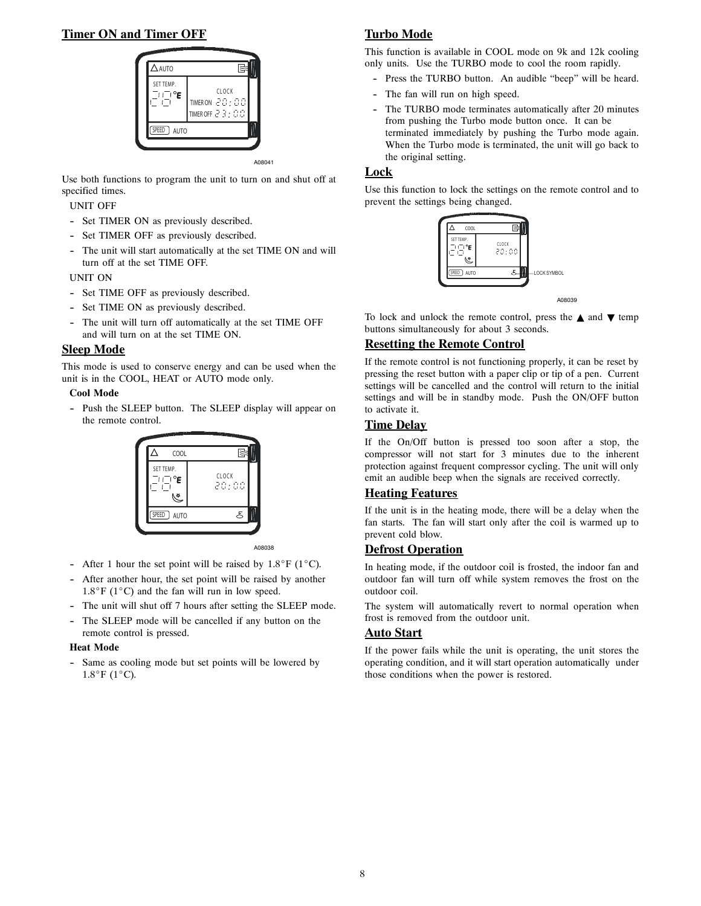### **Timer ON and Timer OFF**



A08041

Use both functions to program the unit to turn on and shut off at specified times.

UNIT OFF

- Set TIMER ON as previously described.
- Set TIMER OFF as previously described.
- -- The unit will start automatically at the set TIME ON and will turn off at the set TIME OFF.

UNIT ON

- Set TIME OFF as previously described.
- Set TIME ON as previously described.
- The unit will turn off automatically at the set TIME OFF and will turn on at the set TIME ON.

#### **Sleep Mode**

This mode is used to conserve energy and can be used when the unit is in the COOL, HEAT or AUTO mode only.

#### **Cool Mode**

-- Push the SLEEP button. The SLEEP display will appear on the remote control.



A08038

- After 1 hour the set point will be raised by  $1.8^{\circ}F$  (1 $^{\circ}C$ ).
- After another hour, the set point will be raised by another  $1.8^{\circ}$ F (1<sup>o</sup>C) and the fan will run in low speed.
- The unit will shut off 7 hours after setting the SLEEP mode.
- -- The SLEEP mode will be cancelled if any button on the remote control is pressed.

#### **Heat Mode**

-- Same as cooling mode but set points will be lowered by  $1.8^{\circ}$ F (1<sup>o</sup>C).

### **Turbo Mode**

This function is available in COOL mode on 9k and 12k cooling only units. Use the TURBO mode to cool the room rapidly.

- Press the TURBO button. An audible "beep" will be heard.
- The fan will run on high speed.
- The TURBO mode terminates automatically after 20 minutes from pushing the Turbo mode button once. It can be terminated immediately by pushing the Turbo mode again. When the Turbo mode is terminated, the unit will go back to the original setting.

#### **Lock**

Use this function to lock the settings on the remote control and to prevent the settings being changed.



A08039

To lock and unlock the remote control, press the  $\triangle$  and  $\nabla$  temp buttons simultaneously for about 3 seconds.

#### **Resetting the Remote Control**

If the remote control is not functioning properly, it can be reset by pressing the reset button with a paper clip or tip of a pen. Current settings will be cancelled and the control will return to the initial settings and will be in standby mode. Push the ON/OFF button to activate it.

#### **Time Delay**

If the On/Off button is pressed too soon after a stop, the compressor will not start for 3 minutes due to the inherent protection against frequent compressor cycling. The unit will only emit an audible beep when the signals are received correctly.

#### **Heating Features**

If the unit is in the heating mode, there will be a delay when the fan starts. The fan will start only after the coil is warmed up to prevent cold blow.

#### **Defrost Operation**

In heating mode, if the outdoor coil is frosted, the indoor fan and outdoor fan will turn off while system removes the frost on the outdoor coil.

The system will automatically revert to normal operation when frost is removed from the outdoor unit.

#### **Auto Start**

If the power fails while the unit is operating, the unit stores the operating condition, and it will start operation automatically under those conditions when the power is restored.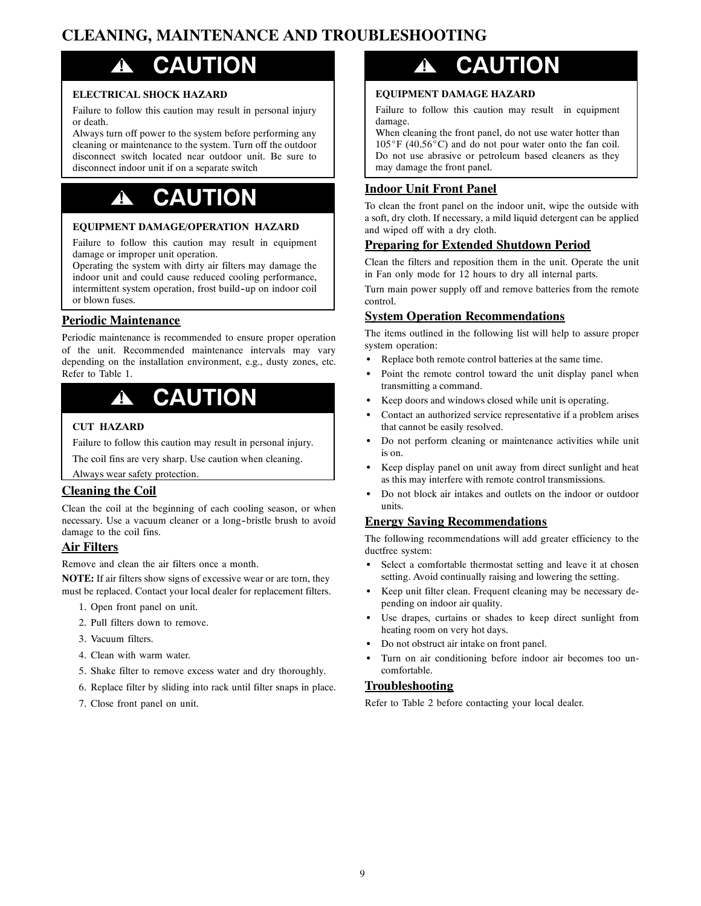## **CLEANING, MAINTENANCE AND TROUBLESHOOTING**

# **! CAUTION**

#### **ELECTRICAL SHOCK HAZARD**

Failure to follow this caution may result in personal injury or death.

Always turn off power to the system before performing any cleaning or maintenance to the system. Turn off the outdoor disconnect switch located near outdoor unit. Be sure to disconnect indoor unit if on a separate switch

# **! CAUTION**

#### **EQUIPMENT DAMAGE/OPERATION HAZARD**

Failure to follow this caution may result in equipment damage or improper unit operation.

Operating the system with dirty air filters may damage the indoor unit and could cause reduced cooling performance, intermittent system operation, frost build-up on indoor coil or blown fuses.

#### **Periodic Maintenance**

Periodic maintenance is recommended to ensure proper operation of the unit. Recommended maintenance intervals may vary depending on the installation environment, e.g., dusty zones, etc. Refer to Table 1.

# **! CAUTION**

#### **CUT HAZARD**

Failure to follow this caution may result in personal injury.

The coil fins are very sharp. Use caution when cleaning.

#### Always wear safety protection.

#### **Cleaning the Coil**

Clean the coil at the beginning of each cooling season, or when necessary. Use a vacuum cleaner or a long-bristle brush to avoid damage to the coil fins.

#### **Air Filters**

Remove and clean the air filters once a month.

**NOTE:** If air filters show signs of excessive wear or are torn, they must be replaced. Contact your local dealer for replacement filters.

- 1. Open front panel on unit.
- 2. Pull filters down to remove.
- 3. Vacuum filters.
- 4. Clean with warm water.
- 5. Shake filter to remove excess water and dry thoroughly.
- 6. Replace filter by sliding into rack until filter snaps in place.
- 7. Close front panel on unit.

# **! CAUTION**

#### **EQUIPMENT DAMAGE HAZARD**

Failure to follow this caution may result in equipment damage.

When cleaning the front panel, do not use water hotter than  $105^{\circ}$ F (40.56 $^{\circ}$ C) and do not pour water onto the fan coil. Do not use abrasive or petroleum based cleaners as they may damage the front panel.

#### **Indoor Unit Front Panel**

To clean the front panel on the indoor unit, wipe the outside with a soft, dry cloth. If necessary, a mild liquid detergent can be applied and wiped off with a dry cloth.

#### **Preparing for Extended Shutdown Period**

Clean the filters and reposition them in the unit. Operate the unit in Fan only mode for 12 hours to dry all internal parts.

Turn main power supply off and remove batteries from the remote control.

#### **System Operation Recommendations**

The items outlined in the following list will help to assure proper system operation:

- Replace both remote control batteries at the same time.
- Point the remote control toward the unit display panel when transmitting a command.
- Keep doors and windows closed while unit is operating.
- Contact an authorized service representative if a problem arises that cannot be easily resolved.
- Do not perform cleaning or maintenance activities while unit is on.
- Keep display panel on unit away from direct sunlight and heat as this may interfere with remote control transmissions.
- Do not block air intakes and outlets on the indoor or outdoor units.

#### **Energy Saving Recommendations**

The following recommendations will add greater efficiency to the ductfree system:

- Select a comfortable thermostat setting and leave it at chosen setting. Avoid continually raising and lowering the setting.
- Keep unit filter clean. Frequent cleaning may be necessary depending on indoor air quality.
- Use drapes, curtains or shades to keep direct sunlight from heating room on very hot days.
- Do not obstruct air intake on front panel.
- Turn on air conditioning before indoor air becomes too uncomfortable.

#### **Troubleshooting**

Refer to Table 2 before contacting your local dealer.